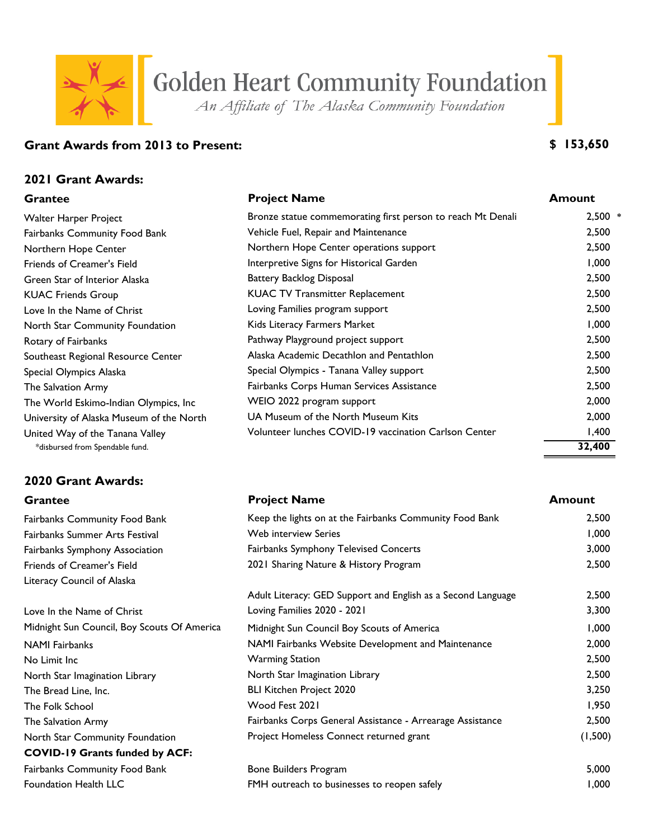# Golden Heart Community Foundation

An Affiliate of The Alaska Community Foundation

# **Grant Awards from 2013 to Present:**

## **2021 Grant Awards:**

# **2020 Grant Awards:**

Foundation Health LLC

| <b>Grantee</b>                           | <b>Project Name</b>                                         | <b>Amount</b>            |
|------------------------------------------|-------------------------------------------------------------|--------------------------|
| Walter Harper Project                    | Bronze statue commemorating first person to reach Mt Denali | $2,500$ *                |
| <b>Fairbanks Community Food Bank</b>     | Vehicle Fuel, Repair and Maintenance                        | 2,500                    |
| Northern Hope Center                     | Northern Hope Center operations support                     | 2,500                    |
| Friends of Creamer's Field               | Interpretive Signs for Historical Garden                    | 1,000                    |
| Green Star of Interior Alaska            | <b>Battery Backlog Disposal</b>                             | 2,500                    |
| <b>KUAC Friends Group</b>                | <b>KUAC TV Transmitter Replacement</b>                      | 2,500                    |
| Love In the Name of Christ               | Loving Families program support                             | 2,500                    |
| North Star Community Foundation          | Kids Literacy Farmers Market                                | 1,000                    |
| Rotary of Fairbanks                      | Pathway Playground project support                          | 2,500                    |
| Southeast Regional Resource Center       | Alaska Academic Decathlon and Pentathlon                    | 2,500                    |
| Special Olympics Alaska                  | Special Olympics - Tanana Valley support                    | 2,500                    |
| The Salvation Army                       | Fairbanks Corps Human Services Assistance                   | 2,500                    |
| The World Eskimo-Indian Olympics, Inc    | WEIO 2022 program support                                   | 2,000                    |
| University of Alaska Museum of the North | UA Museum of the North Museum Kits                          | 2,000                    |
| United Way of the Tanana Valley          | Volunteer lunches COVID-19 vaccination Carlson Center       | 1,400                    |
|                                          |                                                             | $\overline{\phantom{a}}$ |

| <b>Grantee</b>                              | <b>Project Name</b>                                          | <b>Amount</b> |
|---------------------------------------------|--------------------------------------------------------------|---------------|
| <b>Fairbanks Community Food Bank</b>        | Keep the lights on at the Fairbanks Community Food Bank      | 2,500         |
| Fairbanks Summer Arts Festival              | <b>Web interview Series</b>                                  | 1,000         |
| <b>Fairbanks Symphony Association</b>       | Fairbanks Symphony Televised Concerts                        | 3,000         |
| Friends of Creamer's Field                  | 2021 Sharing Nature & History Program                        | 2,500         |
| Literacy Council of Alaska                  |                                                              |               |
|                                             | Adult Literacy: GED Support and English as a Second Language | 2,500         |
| Love In the Name of Christ                  | Loving Families 2020 - 2021                                  | 3,300         |
| Midnight Sun Council, Boy Scouts Of America | Midnight Sun Council Boy Scouts of America                   | 1,000         |
| NAMI Fairbanks                              | NAMI Fairbanks Website Development and Maintenance           | 2,000         |
| No Limit Inc                                | <b>Warming Station</b>                                       | 2,500         |
| North Star Imagination Library              | North Star Imagination Library                               | 2,500         |
| The Bread Line, Inc.                        | <b>BLI Kitchen Project 2020</b>                              | 3,250         |
| The Folk School                             | Wood Fest 2021                                               | 1,950         |
| The Salvation Army                          | Fairbanks Corps General Assistance - Arrearage Assistance    | 2,500         |
| North Star Community Foundation             | Project Homeless Connect returned grant                      | (1,500)       |
| <b>COVID-19 Grants funded by ACF:</b>       |                                                              |               |
| Fairbanks Community Food Bank               | Bone Builders Program                                        | 5,000         |
| Foundation Health LLC                       | FMH outreach to businesses to reopen safely                  | 1,000         |

# **\$ 153,650**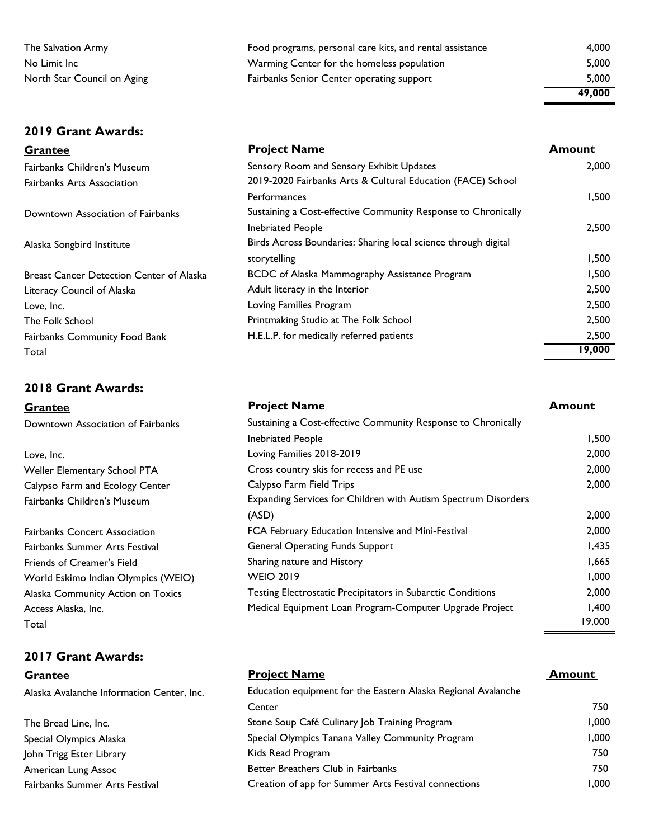### **2019 Grant Awards:**

### **2018 Grant Awards:**

### **2017 Grant Awards:**

| The Salvation Army          | Food programs, personal care kits, and rental assistance | 4.000  |
|-----------------------------|----------------------------------------------------------|--------|
| No Limit Inc                | Warming Center for the homeless population               | 5.000  |
| North Star Council on Aging | <b>Fairbanks Senior Center operating support</b>         | 5.000  |
|                             |                                                          | 49,000 |

| <b>Grantee</b>                                  | <b>Project Name</b>                                            | <b>Amount</b> |
|-------------------------------------------------|----------------------------------------------------------------|---------------|
| Fairbanks Children's Museum                     | Sensory Room and Sensory Exhibit Updates                       | 2,000         |
| Fairbanks Arts Association                      | 2019-2020 Fairbanks Arts & Cultural Education (FACE) School    |               |
|                                                 | Performances                                                   | 1,500         |
| Downtown Association of Fairbanks               | Sustaining a Cost-effective Community Response to Chronically  |               |
|                                                 | <b>Inebriated People</b>                                       | 2,500         |
| Alaska Songbird Institute                       | Birds Across Boundaries: Sharing local science through digital |               |
|                                                 | storytelling                                                   | 1,500         |
| <b>Breast Cancer Detection Center of Alaska</b> | BCDC of Alaska Mammography Assistance Program                  | 1,500         |
| Literacy Council of Alaska                      | Adult literacy in the Interior                                 | 2,500         |
| Love, Inc.                                      | Loving Families Program                                        | 2,500         |
| The Folk School                                 | Printmaking Studio at The Folk School                          | 2,500         |
| <b>Fairbanks Community Food Bank</b>            | H.E.L.P. for medically referred patients                       | 2,500         |
| Total                                           |                                                                | 19,000        |

| <b>Grantee</b>                      | <b>Project Name</b>                                            | <b>Amount</b> |
|-------------------------------------|----------------------------------------------------------------|---------------|
| Downtown Association of Fairbanks   | Sustaining a Cost-effective Community Response to Chronically  |               |
|                                     | <b>Inebriated People</b>                                       | 1,500         |
| Love, Inc.                          | Loving Families 2018-2019                                      | 2,000         |
| Weller Elementary School PTA        | Cross country skis for recess and PE use                       | 2,000         |
| Calypso Farm and Ecology Center     | Calypso Farm Field Trips                                       | 2,000         |
| Fairbanks Children's Museum         | Expanding Services for Children with Autism Spectrum Disorders |               |
|                                     | (ASD)                                                          | 2,000         |
| Fairbanks Concert Association       | FCA February Education Intensive and Mini-Festival             | 2,000         |
| Fairbanks Summer Arts Festival      | <b>General Operating Funds Support</b>                         | 1,435         |
| Friends of Creamer's Field          | Sharing nature and History                                     | 1,665         |
| World Eskimo Indian Olympics (WEIO) | <b>WEIO 2019</b>                                               | 1,000         |
| Alaska Community Action on Toxics   | Testing Electrostatic Precipitators in Subarctic Conditions    | 2,000         |
| Access Alaska, Inc.                 | Medical Equipment Loan Program-Computer Upgrade Project        | 1,400         |
| Total                               |                                                                | 19,000        |

### **Grantee Project Name Amount Amount**

| Alaska Avalanche Information Center, Inc. | Education equipment for the Eastern Alaska Regional Avalanche |       |
|-------------------------------------------|---------------------------------------------------------------|-------|
|                                           | Center                                                        | 750   |
| The Bread Line, Inc.                      | Stone Soup Café Culinary Job Training Program                 | 1.000 |
| Special Olympics Alaska                   | Special Olympics Tanana Valley Community Program              | 1.000 |
| John Trigg Ester Library                  | Kids Read Program                                             | 750   |
| American Lung Assoc                       | Better Breathers Club in Fairbanks                            | 750   |
| Fairbanks Summer Arts Festival            | Creation of app for Summer Arts Festival connections          | 1.000 |